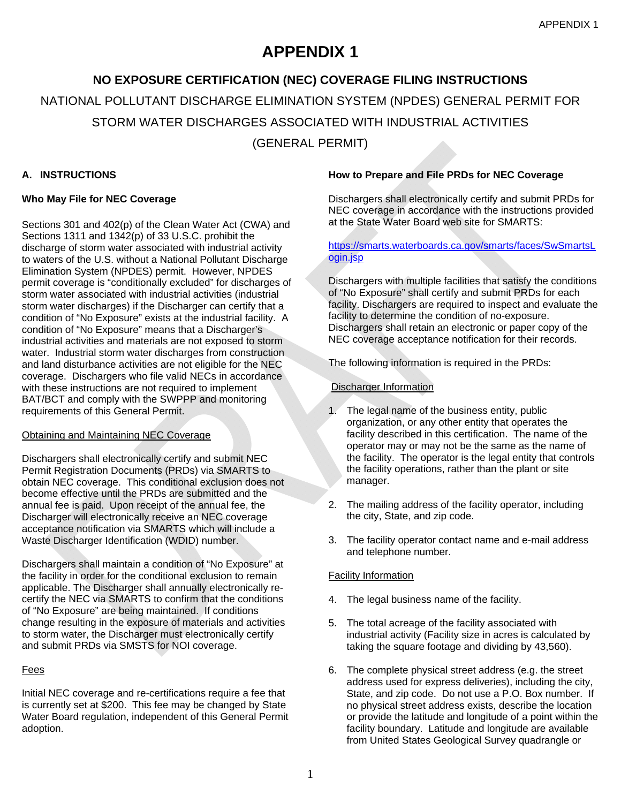# **APPENDIX 1**

# **NO EXPOSURE CERTIFICATION (NEC) COVERAGE FILING INSTRUCTIONS**

NATIONAL POLLUTANT DISCHARGE ELIMINATION SYSTEM (NPDES) GENERAL PERMIT FOR

STORM WATER DISCHARGES ASSOCIATED WITH INDUSTRIAL ACTIVITIES

(GENERAL PERMIT)

# **A. INSTRUCTIONS**

# **Who May File for NEC Coverage**

Sections 301 and 402(p) of the Clean Water Act (CWA) and Sections 1311 and 1342(p) of 33 U.S.C. prohibit the discharge of storm water associated with industrial activity to waters of the U.S. without a National Pollutant Discharge Elimination System (NPDES) permit. However, NPDES permit coverage is "conditionally excluded" for discharges of storm water associated with industrial activities (industrial storm water discharges) if the Discharger can certify that a condition of "No Exposure" exists at the industrial facility. A condition of "No Exposure" means that a Discharger's industrial activities and materials are not exposed to storm water. Industrial storm water discharges from construction and land disturbance activities are not eligible for the NEC coverage. Dischargers who file valid NECs in accordance with these instructions are not required to implement BAT/BCT and comply with the SWPPP and monitoring requirements of this General Permit.

# Obtaining and Maintaining NEC Coverage

Dischargers shall electronically certify and submit NEC Permit Registration Documents (PRDs) via SMARTS to obtain NEC coverage. This conditional exclusion does not become effective until the PRDs are submitted and the annual fee is paid. Upon receipt of the annual fee, the Discharger will electronically receive an NEC coverage acceptance notification via SMARTS which will include a Waste Discharger Identification (WDID) number.

Dischargers shall maintain a condition of "No Exposure" at the facility in order for the conditional exclusion to remain applicable. The Discharger shall annually electronically recertify the NEC via SMARTS to confirm that the conditions of "No Exposure" are being maintained. If conditions change resulting in the exposure of materials and activities to storm water, the Discharger must electronically certify and submit PRDs via SMSTS for NOI coverage.

# Fees

Initial NEC coverage and re-certifications require a fee that is currently set at \$200. This fee may be changed by State Water Board regulation, independent of this General Permit adoption.

#### **How to Prepare and File PRDs for NEC Coverage**

Dischargers shall electronically certify and submit PRDs for NEC coverage in accordance with the instructions provided at the State Water Board web site for SMARTS:

## https://smarts.waterboards.ca.gov/smarts/faces/SwSmartsL ogin.jsp

Dischargers with multiple facilities that satisfy the conditions of "No Exposure" shall certify and submit PRDs for each facility. Dischargers are required to inspect and evaluate the facility to determine the condition of no-exposure. Dischargers shall retain an electronic or paper copy of the NEC coverage acceptance notification for their records.

The following information is required in the PRDs:

# Discharger Information

- 1. The legal name of the business entity, public organization, or any other entity that operates the facility described in this certification. The name of the operator may or may not be the same as the name of the facility. The operator is the legal entity that controls the facility operations, rather than the plant or site manager.
- 2. The mailing address of the facility operator, including the city, State, and zip code.
- 3. The facility operator contact name and e-mail address and telephone number.

## Facility Information

- 4. The legal business name of the facility.
- 5. The total acreage of the facility associated with industrial activity (Facility size in acres is calculated by taking the square footage and dividing by 43,560).
- 6. The complete physical street address (e.g. the street address used for express deliveries), including the city, State, and zip code. Do not use a P.O. Box number. If no physical street address exists, describe the location or provide the latitude and longitude of a point within the facility boundary. Latitude and longitude are available from United States Geological Survey quadrangle or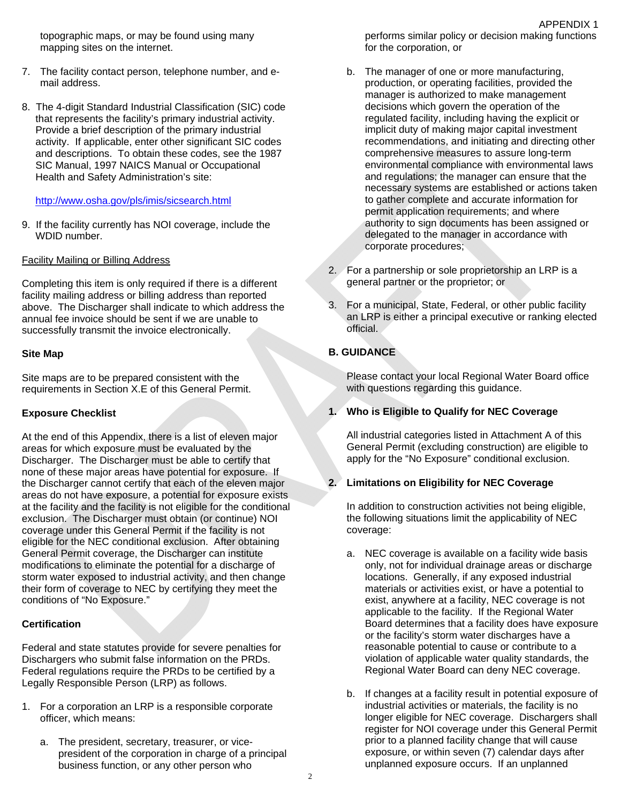topographic maps, or may be found using many mapping sites on the internet.

- 7. The facility contact person, telephone number, and email address.
- 8. The 4-digit Standard Industrial Classification (SIC) code that represents the facility's primary industrial activity. Provide a brief description of the primary industrial activity. If applicable, enter other significant SIC codes and descriptions. To obtain these codes, see the 1987 SIC Manual, 1997 NAICS Manual or Occupational Health and Safety Administration's site:

#### http://www.osha.gov/pls/imis/sicsearch.html

9. If the facility currently has NOI coverage, include the WDID number.

## Facility Mailing or Billing Address

Completing this item is only required if there is a different facility mailing address or billing address than reported above. The Discharger shall indicate to which address the annual fee invoice should be sent if we are unable to successfully transmit the invoice electronically.

## **Site Map**

Site maps are to be prepared consistent with the requirements in Section X.E of this General Permit.

## **Exposure Checklist**

At the end of this Appendix, there is a list of eleven major areas for which exposure must be evaluated by the Discharger. The Discharger must be able to certify that none of these major areas have potential for exposure. If the Discharger cannot certify that each of the eleven major areas do not have exposure, a potential for exposure exists at the facility and the facility is not eligible for the conditional exclusion. The Discharger must obtain (or continue) NOI coverage under this General Permit if the facility is not eligible for the NEC conditional exclusion. After obtaining General Permit coverage, the Discharger can institute modifications to eliminate the potential for a discharge of storm water exposed to industrial activity, and then change their form of coverage to NEC by certifying they meet the conditions of "No Exposure."

## **Certification**

Federal and state statutes provide for severe penalties for Dischargers who submit false information on the PRDs. Federal regulations require the PRDs to be certified by a Legally Responsible Person (LRP) as follows.

- 1. For a corporation an LRP is a responsible corporate officer, which means:
	- a. The president, secretary, treasurer, or vicepresident of the corporation in charge of a principal business function, or any other person who

performs similar policy or decision making functions for the corporation, or

APPENDIX 1

- b. The manager of one or more manufacturing, production, or operating facilities, provided the manager is authorized to make management decisions which govern the operation of the regulated facility, including having the explicit or implicit duty of making major capital investment recommendations, and initiating and directing other comprehensive measures to assure long-term environmental compliance with environmental laws and regulations; the manager can ensure that the necessary systems are established or actions taken to gather complete and accurate information for permit application requirements; and where authority to sign documents has been assigned or delegated to the manager in accordance with corporate procedures;
- 2. For a partnership or sole proprietorship an LRP is a general partner or the proprietor; or
- 3. For a municipal, State, Federal, or other public facility an LRP is either a principal executive or ranking elected official.

# **B. GUIDANCE**

Please contact your local Regional Water Board office with questions regarding this guidance.

## **1. Who is Eligible to Qualify for NEC Coverage**

All industrial categories listed in Attachment A of this General Permit (excluding construction) are eligible to apply for the "No Exposure" conditional exclusion.

## **2. Limitations on Eligibility for NEC Coverage**

In addition to construction activities not being eligible, the following situations limit the applicability of NEC coverage:

- a. NEC coverage is available on a facility wide basis only, not for individual drainage areas or discharge locations. Generally, if any exposed industrial materials or activities exist, or have a potential to exist, anywhere at a facility, NEC coverage is not applicable to the facility. If the Regional Water Board determines that a facility does have exposure or the facility's storm water discharges have a reasonable potential to cause or contribute to a violation of applicable water quality standards, the Regional Water Board can deny NEC coverage.
- b. If changes at a facility result in potential exposure of industrial activities or materials, the facility is no longer eligible for NEC coverage. Dischargers shall register for NOI coverage under this General Permit prior to a planned facility change that will cause exposure, or within seven (7) calendar days after unplanned exposure occurs. If an unplanned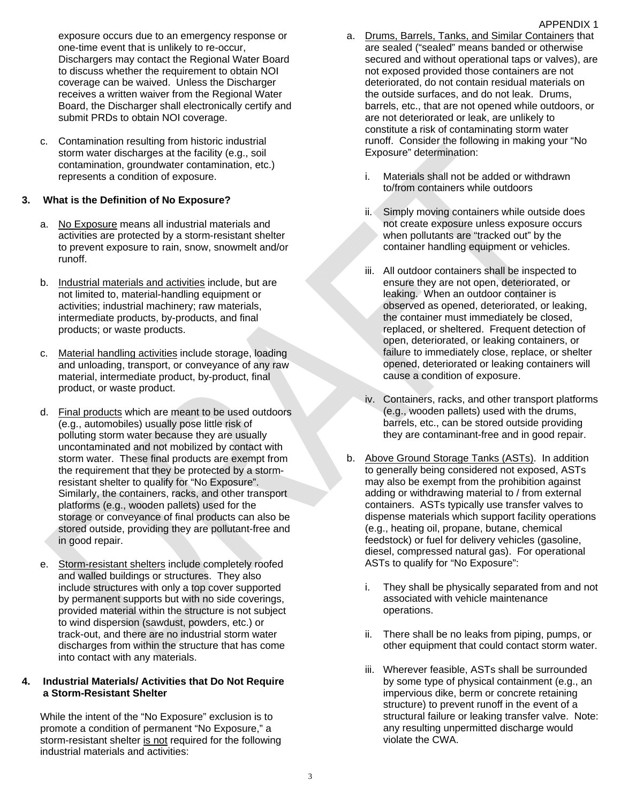exposure occurs due to an emergency response or one-time event that is unlikely to re-occur, Dischargers may contact the Regional Water Board to discuss whether the requirement to obtain NOI coverage can be waived. Unless the Discharger receives a written waiver from the Regional Water Board, the Discharger shall electronically certify and submit PRDs to obtain NOI coverage.

c. Contamination resulting from historic industrial storm water discharges at the facility (e.g., soil contamination, groundwater contamination, etc.) represents a condition of exposure.

#### **3. What is the Definition of No Exposure?**

- a. No Exposure means all industrial materials and activities are protected by a storm-resistant shelter to prevent exposure to rain, snow, snowmelt and/or runoff.
- b. Industrial materials and activities include, but are not limited to, material-handling equipment or activities; industrial machinery; raw materials, intermediate products, by-products, and final products; or waste products.
- c. Material handling activities include storage, loading and unloading, transport, or conveyance of any raw material, intermediate product, by-product, final product, or waste product.
- d. Final products which are meant to be used outdoors (e.g., automobiles) usually pose little risk of polluting storm water because they are usually uncontaminated and not mobilized by contact with storm water. These final products are exempt from the requirement that they be protected by a stormresistant shelter to qualify for "No Exposure". Similarly, the containers, racks, and other transport platforms (e.g., wooden pallets) used for the storage or conveyance of final products can also be stored outside, providing they are pollutant-free and in good repair.
- e. Storm-resistant shelters include completely roofed and walled buildings or structures. They also include structures with only a top cover supported by permanent supports but with no side coverings, provided material within the structure is not subject to wind dispersion (sawdust, powders, etc.) or track-out, and there are no industrial storm water discharges from within the structure that has come into contact with any materials.

#### **4. Industrial Materials/ Activities that Do Not Require a Storm-Resistant Shelter**

While the intent of the "No Exposure" exclusion is to promote a condition of permanent "No Exposure," a storm-resistant shelter is not required for the following industrial materials and activities:

- a. Drums, Barrels, Tanks, and Similar Containers that are sealed ("sealed" means banded or otherwise secured and without operational taps or valves), are not exposed provided those containers are not deteriorated, do not contain residual materials on the outside surfaces, and do not leak. Drums, barrels, etc., that are not opened while outdoors, or are not deteriorated or leak, are unlikely to constitute a risk of contaminating storm water runoff. Consider the following in making your "No Exposure" determination:
	- i. Materials shall not be added or withdrawn to/from containers while outdoors
	- ii. Simply moving containers while outside does not create exposure unless exposure occurs when pollutants are "tracked out" by the container handling equipment or vehicles.
	- iii. All outdoor containers shall be inspected to ensure they are not open, deteriorated, or leaking. When an outdoor container is observed as opened, deteriorated, or leaking, the container must immediately be closed, replaced, or sheltered. Frequent detection of open, deteriorated, or leaking containers, or failure to immediately close, replace, or shelter opened, deteriorated or leaking containers will cause a condition of exposure.
	- iv. Containers, racks, and other transport platforms (e.g., wooden pallets) used with the drums, barrels, etc., can be stored outside providing they are contaminant-free and in good repair.
- b. Above Ground Storage Tanks (ASTs). In addition to generally being considered not exposed, ASTs may also be exempt from the prohibition against adding or withdrawing material to / from external containers. ASTs typically use transfer valves to dispense materials which support facility operations (e.g., heating oil, propane, butane, chemical feedstock) or fuel for delivery vehicles (gasoline, diesel, compressed natural gas). For operational ASTs to qualify for "No Exposure":
	- i. They shall be physically separated from and not associated with vehicle maintenance operations.
	- ii. There shall be no leaks from piping, pumps, or other equipment that could contact storm water.
	- iii. Wherever feasible, ASTs shall be surrounded by some type of physical containment (e.g., an impervious dike, berm or concrete retaining structure) to prevent runoff in the event of a structural failure or leaking transfer valve. Note: any resulting unpermitted discharge would violate the CWA.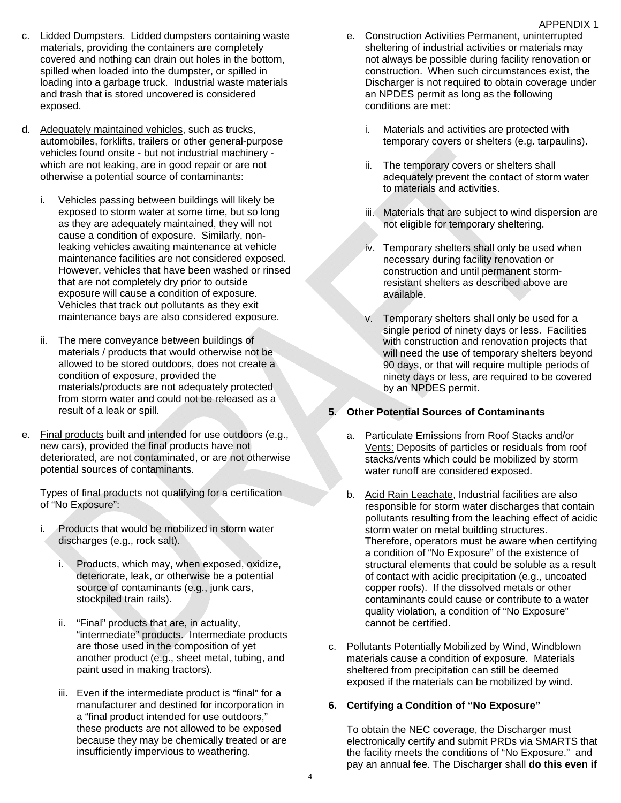- c. Lidded Dumpsters. Lidded dumpsters containing waste materials, providing the containers are completely covered and nothing can drain out holes in the bottom, spilled when loaded into the dumpster, or spilled in loading into a garbage truck. Industrial waste materials and trash that is stored uncovered is considered exposed.
- d. Adequately maintained vehicles, such as trucks, automobiles, forklifts, trailers or other general-purpose vehicles found onsite - but not industrial machinery which are not leaking, are in good repair or are not otherwise a potential source of contaminants:
	- i. Vehicles passing between buildings will likely be exposed to storm water at some time, but so long as they are adequately maintained, they will not cause a condition of exposure. Similarly, nonleaking vehicles awaiting maintenance at vehicle maintenance facilities are not considered exposed. However, vehicles that have been washed or rinsed that are not completely dry prior to outside exposure will cause a condition of exposure. Vehicles that track out pollutants as they exit maintenance bays are also considered exposure.
	- ii. The mere conveyance between buildings of materials / products that would otherwise not be allowed to be stored outdoors, does not create a condition of exposure, provided the materials/products are not adequately protected from storm water and could not be released as a result of a leak or spill.
- e. Final products built and intended for use outdoors (e.g., new cars), provided the final products have not deteriorated, are not contaminated, or are not otherwise potential sources of contaminants.

Types of final products not qualifying for a certification of "No Exposure":

- i. Products that would be mobilized in storm water discharges (e.g., rock salt).
	- i. Products, which may, when exposed, oxidize, deteriorate, leak, or otherwise be a potential source of contaminants (e.g., junk cars, stockpiled train rails).
	- ii. "Final" products that are, in actuality, "intermediate" products. Intermediate products are those used in the composition of yet another product (e.g., sheet metal, tubing, and paint used in making tractors).
	- iii. Even if the intermediate product is "final" for a manufacturer and destined for incorporation in a "final product intended for use outdoors," these products are not allowed to be exposed because they may be chemically treated or are insufficiently impervious to weathering.
- e. Construction Activities Permanent, uninterrupted sheltering of industrial activities or materials may not always be possible during facility renovation or construction. When such circumstances exist, the Discharger is not required to obtain coverage under an NPDES permit as long as the following conditions are met:
	- i. Materials and activities are protected with temporary covers or shelters (e.g. tarpaulins).
	- ii. The temporary covers or shelters shall adequately prevent the contact of storm water to materials and activities.
	- iii. Materials that are subject to wind dispersion are not eligible for temporary sheltering.
	- iv. Temporary shelters shall only be used when necessary during facility renovation or construction and until permanent stormresistant shelters as described above are available.
	- v. Temporary shelters shall only be used for a single period of ninety days or less. Facilities with construction and renovation projects that will need the use of temporary shelters beyond 90 days, or that will require multiple periods of ninety days or less, are required to be covered by an NPDES permit.

#### **5. Other Potential Sources of Contaminants**

- a. Particulate Emissions from Roof Stacks and/or Vents: Deposits of particles or residuals from roof stacks/vents which could be mobilized by storm water runoff are considered exposed.
- b. Acid Rain Leachate, Industrial facilities are also responsible for storm water discharges that contain pollutants resulting from the leaching effect of acidic storm water on metal building structures. Therefore, operators must be aware when certifying a condition of "No Exposure" of the existence of structural elements that could be soluble as a result of contact with acidic precipitation (e.g., uncoated copper roofs). If the dissolved metals or other contaminants could cause or contribute to a water quality violation, a condition of "No Exposure" cannot be certified.
- c. Pollutants Potentially Mobilized by Wind, Windblown materials cause a condition of exposure. Materials sheltered from precipitation can still be deemed exposed if the materials can be mobilized by wind.

#### **6. Certifying a Condition of "No Exposure"**

To obtain the NEC coverage, the Discharger must electronically certify and submit PRDs via SMARTS that the facility meets the conditions of "No Exposure." and pay an annual fee. The Discharger shall **do this even if** 

## APPENDIX 1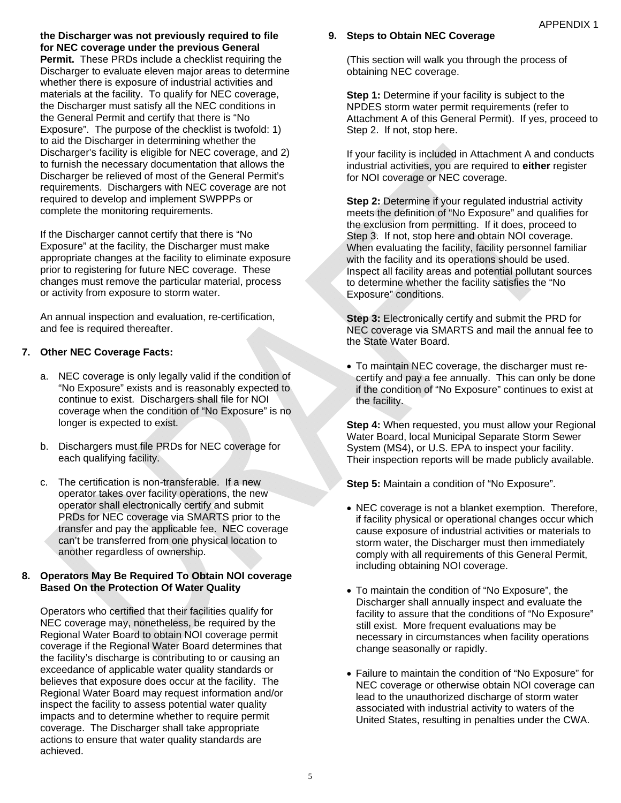**the Discharger was not previously required to file for NEC coverage under the previous General Permit.** These PRDs include a checklist requiring the Discharger to evaluate eleven major areas to determine whether there is exposure of industrial activities and materials at the facility. To qualify for NEC coverage, the Discharger must satisfy all the NEC conditions in the General Permit and certify that there is "No Exposure". The purpose of the checklist is twofold: 1) to aid the Discharger in determining whether the Discharger's facility is eligible for NEC coverage, and 2) to furnish the necessary documentation that allows the Discharger be relieved of most of the General Permit's requirements. Dischargers with NEC coverage are not required to develop and implement SWPPPs or complete the monitoring requirements.

If the Discharger cannot certify that there is "No Exposure" at the facility, the Discharger must make appropriate changes at the facility to eliminate exposure prior to registering for future NEC coverage. These changes must remove the particular material, process or activity from exposure to storm water.

An annual inspection and evaluation, re-certification, and fee is required thereafter.

# **7. Other NEC Coverage Facts:**

- a. NEC coverage is only legally valid if the condition of "No Exposure" exists and is reasonably expected to continue to exist. Dischargers shall file for NOI coverage when the condition of "No Exposure" is no longer is expected to exist.
- b. Dischargers must file PRDs for NEC coverage for each qualifying facility.
- c. The certification is non-transferable. If a new operator takes over facility operations, the new operator shall electronically certify and submit PRDs for NEC coverage via SMARTS prior to the transfer and pay the applicable fee. NEC coverage can't be transferred from one physical location to another regardless of ownership.

# **8. Operators May Be Required To Obtain NOI coverage Based On the Protection Of Water Quality**

Operators who certified that their facilities qualify for NEC coverage may, nonetheless, be required by the Regional Water Board to obtain NOI coverage permit coverage if the Regional Water Board determines that the facility's discharge is contributing to or causing an exceedance of applicable water quality standards or believes that exposure does occur at the facility. The Regional Water Board may request information and/or inspect the facility to assess potential water quality impacts and to determine whether to require permit coverage. The Discharger shall take appropriate actions to ensure that water quality standards are achieved.

# **9. Steps to Obtain NEC Coverage**

(This section will walk you through the process of obtaining NEC coverage.

**Step 1:** Determine if your facility is subject to the NPDES storm water permit requirements (refer to Attachment A of this General Permit). If yes, proceed to Step 2. If not, stop here.

If your facility is included in Attachment A and conducts industrial activities, you are required to **either** register for NOI coverage or NEC coverage.

**Step 2: Determine if your regulated industrial activity** meets the definition of "No Exposure" and qualifies for the exclusion from permitting. If it does, proceed to Step 3. If not, stop here and obtain NOI coverage. When evaluating the facility, facility personnel familiar with the facility and its operations should be used. Inspect all facility areas and potential pollutant sources to determine whether the facility satisfies the "No Exposure" conditions.

**Step 3: Electronically certify and submit the PRD for** NEC coverage via SMARTS and mail the annual fee to the State Water Board.

 To maintain NEC coverage, the discharger must recertify and pay a fee annually. This can only be done if the condition of "No Exposure" continues to exist at the facility.

**Step 4:** When requested, you must allow your Regional Water Board, local Municipal Separate Storm Sewer System (MS4), or U.S. EPA to inspect your facility. Their inspection reports will be made publicly available.

**Step 5:** Maintain a condition of "No Exposure".

- NEC coverage is not a blanket exemption. Therefore, if facility physical or operational changes occur which cause exposure of industrial activities or materials to storm water, the Discharger must then immediately comply with all requirements of this General Permit, including obtaining NOI coverage.
- To maintain the condition of "No Exposure", the Discharger shall annually inspect and evaluate the facility to assure that the conditions of "No Exposure" still exist. More frequent evaluations may be necessary in circumstances when facility operations change seasonally or rapidly.
- Failure to maintain the condition of "No Exposure" for NEC coverage or otherwise obtain NOI coverage can lead to the unauthorized discharge of storm water associated with industrial activity to waters of the United States, resulting in penalties under the CWA.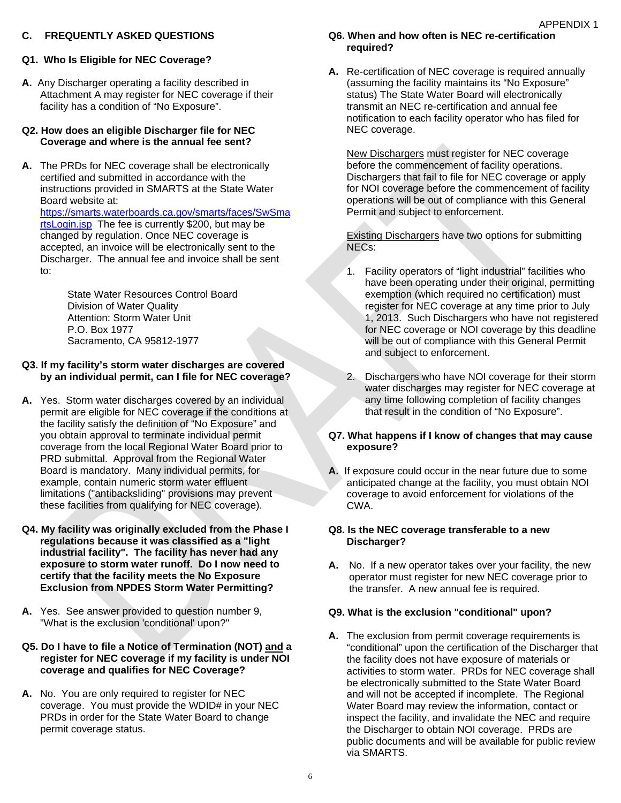## **C. FREQUENTLY ASKED QUESTIONS**

**A.** Any Discharger operating a facility described in Attachment A may register for NEC coverage if their facility has a condition of "No Exposure".

#### **Q2. How does an eligible Discharger file for NEC Coverage and where is the annual fee sent?**

**A.** The PRDs for NEC coverage shall be electronically certified and submitted in accordance with the instructions provided in SMARTS at the State Water Board website at: https://smarts.waterboards.ca.gov/smarts/faces/SwSma rtsLogin.jsp The fee is currently \$200, but may be changed by regulation. Once NEC coverage is accepted, an invoice will be electronically sent to the Discharger. The annual fee and invoice shall be sent to:

> State Water Resources Control Board Division of Water Quality Attention: Storm Water Unit P.O. Box 1977 Sacramento, CA 95812-1977

#### **Q3. If my facility's storm water discharges are covered by an individual permit, can I file for NEC coverage?**

- **A.** Yes. Storm water discharges covered by an individual permit are eligible for NEC coverage if the conditions at the facility satisfy the definition of "No Exposure" and you obtain approval to terminate individual permit coverage from the local Regional Water Board prior to PRD submittal. Approval from the Regional Water Board is mandatory. Many individual permits, for example, contain numeric storm water effluent limitations ("antibacksliding" provisions may prevent these facilities from qualifying for NEC coverage).
- **Q4. My facility was originally excluded from the Phase I regulations because it was classified as a "light industrial facility". The facility has never had any exposure to storm water runoff. Do I now need to certify that the facility meets the No Exposure Exclusion from NPDES Storm Water Permitting?**
- **A.** Yes. See answer provided to question number 9, "What is the exclusion 'conditional' upon?"

#### **Q5. Do I have to file a Notice of Termination (NOT) and a register for NEC coverage if my facility is under NOI coverage and qualifies for NEC Coverage?**

**A.** No. You are only required to register for NEC coverage. You must provide the WDID# in your NEC PRDs in order for the State Water Board to change permit coverage status.

# **Q6. When and how often is NEC re-certification required?**

**A.** Re-certification of NEC coverage is required annually (assuming the facility maintains its "No Exposure" status) The State Water Board will electronically transmit an NEC re-certification and annual fee notification to each facility operator who has filed for NEC coverage.

APPENDIX 1

New Dischargers must register for NEC coverage before the commencement of facility operations. Dischargers that fail to file for NEC coverage or apply for NOI coverage before the commencement of facility operations will be out of compliance with this General Permit and subject to enforcement.

Existing Dischargers have two options for submitting NECs:

- 1. Facility operators of "light industrial" facilities who have been operating under their original, permitting exemption (which required no certification) must register for NEC coverage at any time prior to July 1, 2013. Such Dischargers who have not registered for NEC coverage or NOI coverage by this deadline will be out of compliance with this General Permit and subject to enforcement.
- 2. Dischargers who have NOI coverage for their storm water discharges may register for NEC coverage at any time following completion of facility changes that result in the condition of "No Exposure".

# **Q7. What happens if I know of changes that may cause exposure?**

**A.** If exposure could occur in the near future due to some anticipated change at the facility, you must obtain NOI coverage to avoid enforcement for violations of the CWA.

# **Q8. Is the NEC coverage transferable to a new Discharger?**

**A.** No. If a new operator takes over your facility, the new operator must register for new NEC coverage prior to the transfer. A new annual fee is required.

# **Q9. What is the exclusion "conditional" upon?**

**A.** The exclusion from permit coverage requirements is "conditional" upon the certification of the Discharger that the facility does not have exposure of materials or activities to storm water. PRDs for NEC coverage shall be electronically submitted to the State Water Board and will not be accepted if incomplete. The Regional Water Board may review the information, contact or inspect the facility, and invalidate the NEC and require the Discharger to obtain NOI coverage. PRDs are public documents and will be available for public review via SMARTS.